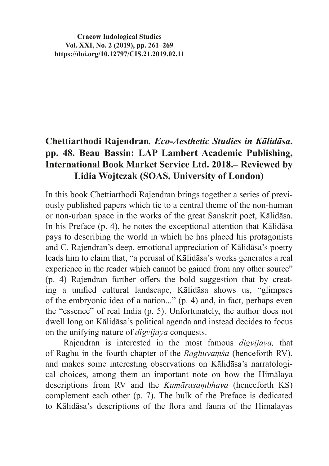**Cracow Indological Studies Vol. XXI, No. 2 (2019), pp. 261–269 https://doi.org/10.12797/CIS.21.2019.02.11**

# **Chettiarthodi Rajendran***. Eco-Aesthetic Studies in Kālidāsa***. pp. 48. Beau Bassin: LAP Lambert Academic Publishing, International Book Market Service Ltd. 2018.– Reviewed by Lidia Wojtczak (SOAS, University of London)**

In this book Chettiarthodi Rajendran brings together a series of previously published papers which tie to a central theme of the non-human or non-urban space in the works of the great Sanskrit poet, Kālidāsa. In his Preface (p. 4), he notes the exceptional attention that Kālidāsa pays to describing the world in which he has placed his protagonists and C. Rajendran's deep, emotional appreciation of Kālidāsa's poetry leads him to claim that, "a perusal of Kālidāsa's works generates a real experience in the reader which cannot be gained from any other source" (p. 4) Rajendran further offers the bold suggestion that by creating a unified cultural landscape, Kālidāsa shows us, "glimpses of the embryonic idea of a nation..." (p. 4) and, in fact, perhaps even the "essence" of real India (p. 5). Unfortunately, the author does not dwell long on Kālidāsa's political agenda and instead decides to focus on the unifying nature of *digvijaya* conquests.

Rajendran is interested in the most famous *digvijaya,* that of Raghu in the fourth chapter of the *Raghuvaṃśa* (henceforth RV), and makes some interesting observations on Kālidāsa's narratological choices, among them an important note on how the Himālaya descriptions from RV and the *Kumārasaṃbhava* (henceforth KS) complement each other (p. 7). The bulk of the Preface is dedicated to Kālidāsa's descriptions of the flora and fauna of the Himalayas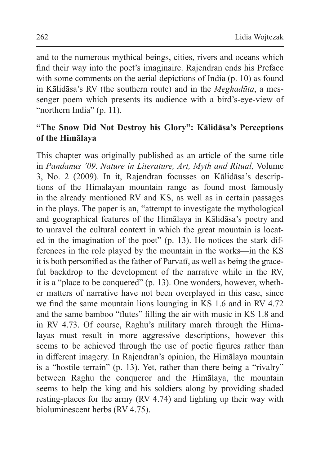and to the numerous mythical beings, cities, rivers and oceans which find their way into the poet's imaginaire. Rajendran ends his Preface with some comments on the aerial depictions of India (p. 10) as found in Kālidāsa's RV (the southern route) and in the *Meghadūta*, a messenger poem which presents its audience with a bird's-eye-view of "northern India" (p. 11).

## **"The Snow Did Not Destroy his Glory": Kālidāsa's Perceptions of the Himālaya**

This chapter was originally published as an article of the same title in *Pandanus '09*. *Nature in Literature, Art, Myth and Ritual*, Volume 3, No. 2 (2009). In it, Rajendran focusses on Kālidāsa's descriptions of the Himalayan mountain range as found most famously in the already mentioned RV and KS, as well as in certain passages in the plays. The paper is an, "attempt to investigate the mythological and geographical features of the Himālaya in Kālidāsa's poetry and to unravel the cultural context in which the great mountain is located in the imagination of the poet" (p. 13). He notices the stark differences in the role played by the mountain in the works—in the KS it is both personified as the father of Parvatī, as well as being the graceful backdrop to the development of the narrative while in the RV, it is a "place to be conquered" (p. 13). One wonders, however, whether matters of narrative have not been overplayed in this case, since we find the same mountain lions lounging in KS 1.6 and in RV 4.72 and the same bamboo "flutes" filling the air with music in KS 1.8 and in RV 4.73. Of course, Raghu's military march through the Himalayas must result in more aggressive descriptions, however this seems to be achieved through the use of poetic figures rather than in different imagery. In Rajendran's opinion, the Himālaya mountain is a "hostile terrain" (p. 13). Yet, rather than there being a "rivalry" between Raghu the conqueror and the Himālaya, the mountain seems to help the king and his soldiers along by providing shaded resting-places for the army (RV 4.74) and lighting up their way with bioluminescent herbs (RV 4.75).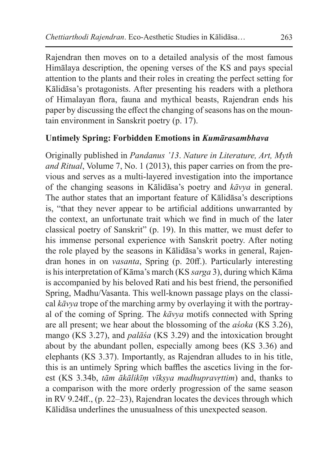Rajendran then moves on to a detailed analysis of the most famous Himālaya description, the opening verses of the KS and pays special attention to the plants and their roles in creating the perfect setting for Kālidāsa's protagonists. After presenting his readers with a plethora of Himalayan flora, fauna and mythical beasts, Rajendran ends his paper by discussing the effect the changing of seasons has on the mountain environment in Sanskrit poetry (p. 17).

## **Untimely Spring: Forbidden Emotions in** *Kumārasambhava*

Originally published in *Pandanus '13*. *Nature in Literature, Art, Myth and Ritual*, Volume 7, No. 1 (2013), this paper carries on from the previous and serves as a multi-layered investigation into the importance of the changing seasons in Kālidāsa's poetry and *kāvya* in general. The author states that an important feature of Kālidāsa's descriptions is, "that they never appear to be artificial additions unwarranted by the context, an unfortunate trait which we find in much of the later classical poetry of Sanskrit" (p. 19). In this matter, we must defer to his immense personal experience with Sanskrit poetry. After noting the role played by the seasons in Kālidāsa's works in general, Rajendran hones in on *vasanta*, Spring (p. 20ff.). Particularly interesting is his interpretation of Kāma's march (KS *sarga* 3), during which Kāma is accompanied by his beloved Rati and his best friend, the personified Spring, Madhu/Vasanta. This well-known passage plays on the classical *kāvya* trope of the marching army by overlaying it with the portrayal of the coming of Spring. The *kāvya* motifs connected with Spring are all present; we hear about the blossoming of the *aśoka* (KS 3.26), mango (KS 3.27), and *palāśa* (KS 3.29) and the intoxication brought about by the abundant pollen, especially among bees (KS 3.36) and elephants (KS 3.37). Importantly, as Rajendran alludes to in his title, this is an untimely Spring which baffles the ascetics living in the forest (KS 3.34b, *tām ākālikīṃ vīkṣya madhupravṛttim*) and, thanks to a comparison with the more orderly progression of the same season in RV 9.24ff., (p. 22–23), Rajendran locates the devices through which Kālidāsa underlines the unusualness of this unexpected season.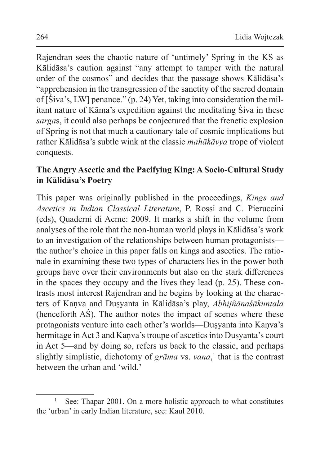Rajendran sees the chaotic nature of 'untimely' Spring in the KS as Kālidāsa's caution against "any attempt to tamper with the natural order of the cosmos" and decides that the passage shows Kālidāsa's "apprehension in the transgression of the sanctity of the sacred domain of [Śiva's, LW] penance." (p. 24) Yet, taking into consideration the militant nature of Kāma's expedition against the meditating Śiva in these *sarga*s, it could also perhaps be conjectured that the frenetic explosion of Spring is not that much a cautionary tale of cosmic implications but rather Kālidāsa's subtle wink at the classic *mahākāvya* trope of violent conquests.

## **The Angry Ascetic and the Pacifying King: A Socio-Cultural Study in Kālidāsa's Poetry**

This paper was originally published in the proceedings, *Kings and Ascetics in Indian Classical Literature*, P. Rossi and C. Pieruccini (eds), Quaderni di Acme: 2009. It marks a shift in the volume from analyses of the role that the non-human world plays in Kālidāsa's work to an investigation of the relationships between human protagonists the author's choice in this paper falls on kings and ascetics. The rationale in examining these two types of characters lies in the power both groups have over their environments but also on the stark differences in the spaces they occupy and the lives they lead (p. 25). These contrasts most interest Rajendran and he begins by looking at the characters of Kaṇva and Duṣyanta in Kālidāsa's play, *Abhijñānaśākuntala* (henceforth AŚ). The author notes the impact of scenes where these protagonists venture into each other's worlds—Dusyanta into Kanva's hermitage in Act 3 and Kaṇva's troupe of ascetics into Duṣyanta's court in Act 5—and by doing so, refers us back to the classic, and perhaps slightly simplistic, dichotomy of *grāma* vs. *vana*, 1 that is the contrast between the urban and 'wild.'

<sup>&</sup>lt;sup>1</sup> See: Thapar 2001. On a more holistic approach to what constitutes the 'urban' in early Indian literature, see: Kaul 2010.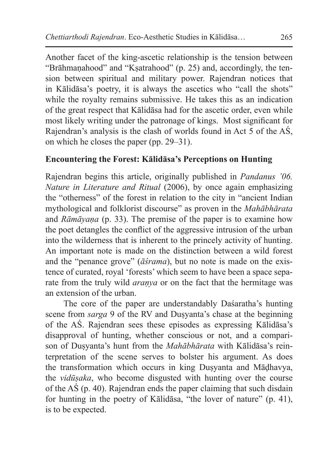Another facet of the king-ascetic relationship is the tension between "Brāhmaṇahood" and "Kṣatrahood" (p. 25) and, accordingly, the tension between spiritual and military power. Rajendran notices that in Kālidāsa's poetry, it is always the ascetics who "call the shots" while the royalty remains submissive. He takes this as an indication of the great respect that Kālidāsa had for the ascetic order, even while most likely writing under the patronage of kings. Most significant for Rajendran's analysis is the clash of worlds found in Act 5 of the AŚ, on which he closes the paper (pp. 29–31).

#### **Encountering the Forest: Kālidāsa's Perceptions on Hunting**

Rajendran begins this article, originally published in *Pandanus '06. Nature in Literature and Ritual* (2006), by once again emphasizing the "otherness" of the forest in relation to the city in "ancient Indian mythological and folklorist discourse" as proven in the *Mahābhārata* and *Rāmāyaṇa* (p. 33). The premise of the paper is to examine how the poet detangles the conflict of the aggressive intrusion of the urban into the wilderness that is inherent to the princely activity of hunting. An important note is made on the distinction between a wild forest and the "penance grove" (*āśrama*), but no note is made on the existence of curated, royal 'forests' which seem to have been a space separate from the truly wild *araṇya* or on the fact that the hermitage was an extension of the urban.

The core of the paper are understandably Daśaratha's hunting scene from *sarga* 9 of the RV and Dusyanta's chase at the beginning of the AŚ. Rajendran sees these episodes as expressing Kālidāsa's disapproval of hunting, whether conscious or not, and a comparison of Duṣyanta's hunt from the *Mahābhārata* with Kālidāsa's reinterpretation of the scene serves to bolster his argument. As does the transformation which occurs in king Duṣyanta and Māḍhavya, the *vidūṣaka*, who become disgusted with hunting over the course of the AŚ (p. 40). Rajendran ends the paper claiming that such disdain for hunting in the poetry of Kālidāsa, "the lover of nature" (p. 41), is to be expected.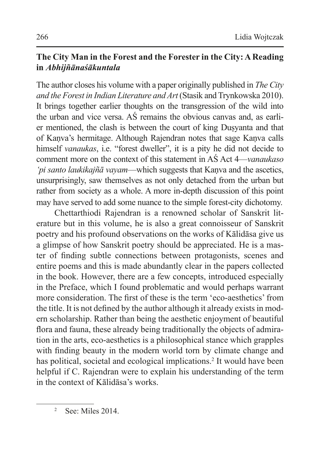## **The City Man in the Forest and the Forester in the City: A Reading in** *Abhijñānaśākuntala*

The author closes his volume with a paper originally published in *The City and the Forest in Indian Literature and Art* (Stasik and Trynkowska 2010). It brings together earlier thoughts on the transgression of the wild into the urban and vice versa. AŚ remains the obvious canvas and, as earlier mentioned, the clash is between the court of king Duṣyanta and that of Kaṇva's hermitage. Although Rajendran notes that sage Kaṇva calls himself *vanaukas*, i.e. "forest dweller", it is a pity he did not decide to comment more on the context of this statement in AŚ Act 4—*vanaukaso 'pi santo laukikajñā vayam*—which suggests that Kanva and the ascetics, unsurprisingly, saw themselves as not only detached from the urban but rather from society as a whole. A more in-depth discussion of this point may have served to add some nuance to the simple forest-city dichotomy.

Chettarthiodi Rajendran is a renowned scholar of Sanskrit literature but in this volume, he is also a great connoisseur of Sanskrit poetry and his profound observations on the works of Kālidāsa give us a glimpse of how Sanskrit poetry should be appreciated. He is a master of finding subtle connections between protagonists, scenes and entire poems and this is made abundantly clear in the papers collected in the book. However, there are a few concepts, introduced especially in the Preface, which I found problematic and would perhaps warrant more consideration. The first of these is the term 'eco-aesthetics' from the title. It is not defined by the author although it already exists in modern scholarship. Rather than being the aesthetic enjoyment of beautiful flora and fauna, these already being traditionally the objects of admiration in the arts, eco-aesthetics is a philosophical stance which grapples with finding beauty in the modern world torn by climate change and has political, societal and ecological implications.<sup>2</sup> It would have been helpful if C. Rajendran were to explain his understanding of the term in the context of Kālidāsa's works.

<sup>2</sup> See: Miles 2014.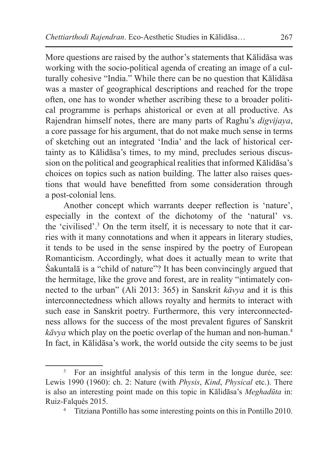More questions are raised by the author's statements that Kālidāsa was working with the socio-political agenda of creating an image of a culturally cohesive "India." While there can be no question that Kālidāsa was a master of geographical descriptions and reached for the trope often, one has to wonder whether ascribing these to a broader political programme is perhaps ahistorical or even at all productive. As Rajendran himself notes, there are many parts of Raghu's *digvijaya*, a core passage for his argument, that do not make much sense in terms of sketching out an integrated 'India' and the lack of historical certainty as to Kālidāsa's times, to my mind, precludes serious discussion on the political and geographical realities that informed Kālidāsa's choices on topics such as nation building. The latter also raises questions that would have benefitted from some consideration through a post-colonial lens.

Another concept which warrants deeper reflection is 'nature', especially in the context of the dichotomy of the 'natural' vs. the 'civilised'.<sup>3</sup> On the term itself, it is necessary to note that it carries with it many connotations and when it appears in literary studies, it tends to be used in the sense inspired by the poetry of European Romanticism. Accordingly, what does it actually mean to write that Śakuntalā is a "child of nature"? It has been convincingly argued that the hermitage, like the grove and forest, are in reality "intimately connected to the urban" (Ali 2013: 365) in Sanskrit *kāvya* and it is this interconnectedness which allows royalty and hermits to interact with such ease in Sanskrit poetry. Furthermore, this very interconnectedness allows for the success of the most prevalent figures of Sanskrit *kāvya* which play on the poetic overlap of the human and non-human.4 In fact, in Kālidāsa's work, the world outside the city seems to be just

<sup>3</sup> For an insightful analysis of this term in the longue durée, see: Lewis 1990 (1960): ch. 2: Nature (with *Physis*, *Kind*, *Physical* etc.). There is also an interesting point made on this topic in Kālidāsa's *Meghadūta* in: Ruiz-Falqués 2015.

<sup>4</sup> Titziana Pontillo has some interesting points on this in Pontillo 2010.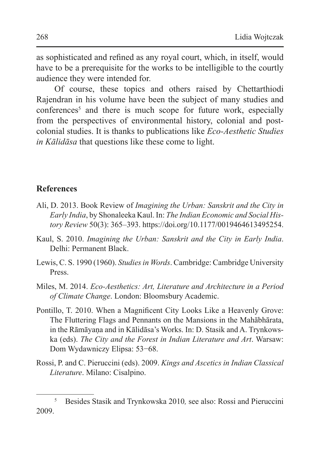as sophisticated and refined as any royal court, which, in itself, would have to be a prerequisite for the works to be intelligible to the courtly audience they were intended for.

Of course, these topics and others raised by Chettarthiodi Rajendran in his volume have been the subject of many studies and conferences<sup>5</sup> and there is much scope for future work, especially from the perspectives of environmental history, colonial and postcolonial studies. It is thanks to publications like *Eco-Aesthetic Studies in Kālidāsa* that questions like these come to light.

#### **References**

- Ali, D. 2013. Book Review of *Imagining the Urban: Sanskrit and the City in Early India*, by Shonaleeka Kaul. In: *The Indian Economic and Social History Review* 50(3): 365–393. https://doi.org/10.1177/0019464613495254.
- Kaul, S. 2010. *Imagining the Urban: Sanskrit and the City in Early India*. Delhi: Permanent Black.
- Lewis, C. S. 1990 (1960). *Studies in Words*. Cambridge: Cambridge University Press.
- Miles, M. 2014. *Eco-Aesthetics: Art, Literature and Architecture in a Period of Climate Change*. London: Bloomsbury Academic.
- Pontillo, T. 2010. When a Magnificent City Looks Like a Heavenly Grove: The Fluttering Flags and Pennants on the Mansions in the Mahābhārata, in the Rāmāyaṇa and in Kālidāsa's Works. In: D. Stasik and A. Trynkowska (eds). *The City and the Forest in Indian Literature and Art*. Warsaw: Dom Wydawniczy Elipsa: 53−68.
- Rossi, P. and C. Pieruccini (eds). 2009. *Kings and Ascetics in Indian Classical Literature*. Milano: Cisalpino.

<sup>5</sup> Besides Stasik and Trynkowska 2010*,* see also: Rossi and Pieruccini 2009.